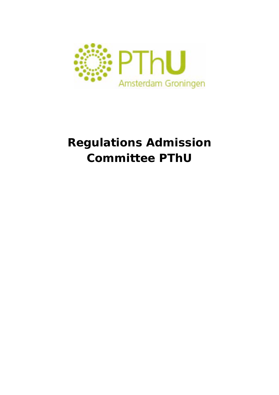

# **Regulations Admission Committee PThU**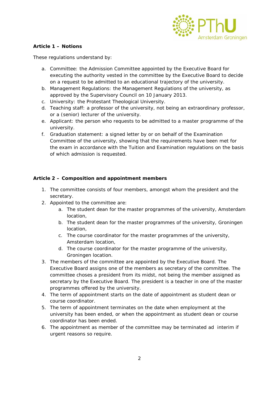

# **Article 1 – Notions**

These regulations understand by:

- a. Committee: the Admission Committee appointed by the Executive Board for executing the authority vested in the committee by the Executive Board to decide on a request to be admitted to an educational trajectory of the university.
- b. Management Regulations: the Management Regulations of the university, as approved by the Supervisory Council on 10 January 2013.
- c. University: the Protestant Theological University.
- d. Teaching staff: a professor of the university, not being an extraordinary professor, or a (senior) lecturer of the university.
- e. Applicant: the person who requests to be admitted to a master programme of the university.
- f. Graduation statement: a signed letter by or on behalf of the Examination Committee of the university, showing that the requirements have been met for the exam in accordance with the Tuition and Examination regulations on the basis of which admission is requested.

## **Article 2 – Composition and appointment members**

- 1. The committee consists of four members, amongst whom the president and the secretary.
- 2. Appointed to the committee are:
	- a. The student dean for the master programmes of the university, Amsterdam location,
	- b. The student dean for the master programmes of the university, Groningen location,
	- c. The course coordinator for the master programmes of the university, Amsterdam location,
	- d. The course coordinator for the master programme of the university, Groningen location.
- 3. The members of the committee are appointed by the Executive Board. The Executive Board assigns one of the members as secretary of the committee. The committee choses a president from its midst, not being the member assigned as secretary by the Executive Board. The president is a teacher in one of the master programmes offered by the university.
- 4. The term of appointment starts on the date of appointment as student dean or course coordinator.
- 5. The term of appointment terminates on the date when employment at the university has been ended, or when the appointment as student dean or course coordinator has been ended.
- 6. The appointment as member of the committee may be terminated ad interim if urgent reasons so require.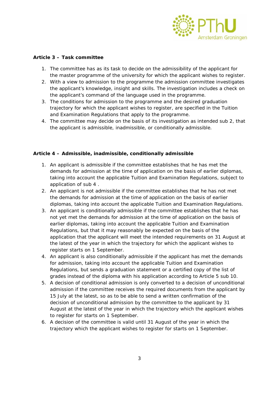

# **Article 3 – Task committee**

- 1. The committee has as its task to decide on the admissibility of the applicant for the master programme of the university for which the applicant wishes to register.
- 2. With a view to admission to the programme the admission committee investigates the applicant's knowledge, insight and skills. The investigation includes a check on the applicant's command of the language used in the programme.
- 3. The conditions for admission to the programme and the desired graduation trajectory for which the applicant wishes to register, are specified in the Tuition and Examination Regulations that apply to the programme.
- 4. The committee may decide on the basis of its investigation as intended sub 2, that the applicant is admissible, inadmissible, or conditionally admissible.

## **Article 4 – Admissible, inadmissible, conditionally admissible**

- 1. An applicant is admissible if the committee establishes that he has met the demands for admission at the time of application on the basis of earlier diplomas, taking into account the applicable Tuition and Examination Regulations, subject to application of sub 4 .
- 2. An applicant is not admissible if the committee establishes that he has not met the demands for admission at the time of application on the basis of earlier diplomas, taking into account the applicable Tuition and Examination Regulations.
- 3. An applicant is conditionally admissible if the committee establishes that he has not yet met the demands for admission at the time of application on the basis of earlier diplomas, taking into account the applicable Tuition and Examination Regulations, but that it may reasonably be expected on the basis of the application that the applicant will meet the intended requirements on 31 August at the latest of the year in which the trajectory for which the applicant wishes to register starts on 1 September.
- 4. An applicant is also conditionally admissible if the applicant has met the demands for admission, taking into account the applicable Tuition and Examination Regulations, but sends a graduation statement or a certified copy of the list of grades instead of the diploma with his application according to Article 5 sub 10.
- 5. A decision of conditional admission is only converted to a decision of unconditional admission if the committee receives the required documents from the applicant by 15 July at the latest, so as to be able to send a written confirmation of the decision of unconditional admission by the committee to the applicant by 31 August at the latest of the year in which the trajectory which the applicant wishes to register for starts on 1 September.
- 6. A decision of the committee is valid until 31 August of the year in which the trajectory which the applicant wishes to register for starts on 1 September.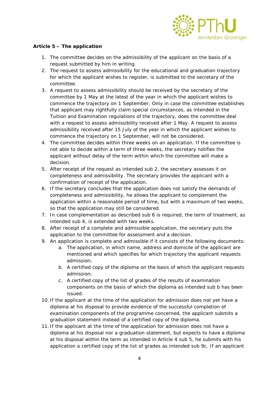

# **Article 5 – The application**

- 1. The committee decides on the admissibility of the applicant on the basis of a request submitted by him in writing.
- 2. The request to assess admissibility for the educational and graduation trajectory for which the applicant wishes to register, is submitted to the secretary of the committee.
- 3. A request to assess admissibility should be received by the secretary of the committee by 1 May at the latest of the year in which the applicant wishes to commence the trajectory on 1 September. Only in case the committee establishes that applicant may rightfully claim special circumstances, as intended in the Tuition and Examination regulations of the trajectory, does the committee deal with a request to assess admissibility received after 1 May. A request to assess admissibility received after 15 July of the year in which the applicant wishes to commence the trajectory on 1 September, will not be considered.
- 4. The committee decides within three weeks on an application. If the committee is not able to decide within a term of three weeks, the secretary notifies the applicant without delay of the term within which the committee will make a decision.
- 5. After receipt of the request as intended sub 2, the secretary assesses it on completeness and admissibility. The secretary provides the applicant with a confirmation of receipt of the application.
- 6. If the secretary concludes that the application does not satisfy the demands of completeness and admissibility, he allows the applicant to complement the application within a reasonable period of time, but with a maximum of two weeks, so that the application may still be considered.
- 7. In case complementation as described sub 6 is required, the term of treatment, as intended sub 4, is extended with two weeks.
- 8. After receipt of a complete and admissible application, the secretary puts the application to the committee for assessment and a decision.
- 9. An application is complete and admissible if it consists of the following documents:
	- a. The application, in which name, address and domicile of the applicant are mentioned and which specifies for which trajectory the applicant requests admission;
	- b. A certified copy of the diploma on the basis of which the applicant requests admission;
	- c. A certified copy of the list of grades of the results of examination components on the basis of which the diploma as intended sub b has been issued.
- 10. If the applicant at the time of the application for admission does not yet have a diploma at his disposal to provide evidence of the successful completion of examination components of the programme concerned, the applicant submits a graduation statement instead of a certified copy of the diploma.
- 11. If the applicant at the time of the application for admission does not have a diploma at his disposal nor a graduation statement, but expects to have a diploma at his disposal within the term as intended in Article 4 sub 5, he submits with his application a certified copy of the list of grades as intended sub 9c. If an applicant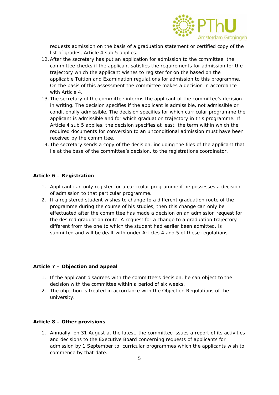

requests admission on the basis of a graduation statement or certified copy of the list of grades, Article 4 sub 5 applies.

- 12.After the secretary has put an application for admission to the committee, the committee checks if the applicant satisfies the requirements for admission for the trajectory which the applicant wishes to register for on the based on the applicable Tuition and Examination regulations for admission to this programme. On the basis of this assessment the committee makes a decision in accordance with Article 4.
- 13. The secretary of the committee informs the applicant of the committee's decision in writing. The decision specifies if the applicant is admissible, not admissible or conditionally admissible. The decision specifies for which curricular programme the applicant is admissible and for which graduation trajectory in this programme. If Article 4 sub 5 applies, the decision specifies at least the term within which the required documents for conversion to an unconditional admission must have been received by the committee.
- 14. The secretary sends a copy of the decision, including the files of the applicant that lie at the base of the committee's decision, to the registrations coordinator.

#### **Article 6 – Registration**

- 1. Applicant can only register for a curricular programme if he possesses a decision of admission to that particular programme.
- 2. If a registered student wishes to change to a different graduation route of the programme during the course of his studies, then this change can only be effectuated after the committee has made a decision on an admission request for the desired graduation route. A request for a change to a graduation trajectory different from the one to which the student had earlier been admitted, is submitted and will be dealt with under Articles 4 and 5 of these regulations.

### **Article 7 – Objection and appeal**

- 1. If the applicant disagrees with the committee's decision, he can object to the decision with the committee within a period of six weeks.
- 2. The objection is treated in accordance with the Objection Regulations of the university.

#### **Article 8 – Other provisions**

1. Annually, on 31 August at the latest, the committee issues a report of its activities and decisions to the Executive Board concerning requests of applicants for admission by 1 September to curricular programmes which the applicants wish to commence by that date.